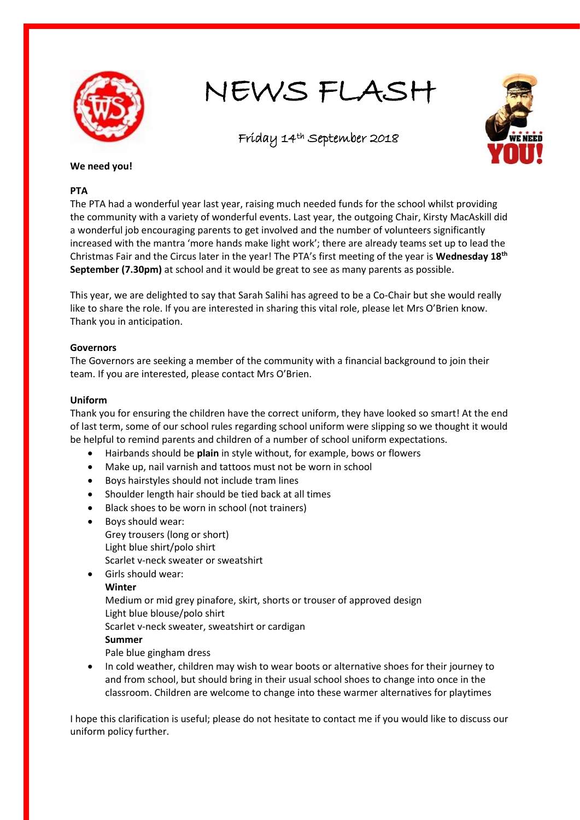

NEWS FLASH

Friday 14th September 2018



## **We need you!**

## **PTA**

The PTA had a wonderful year last year, raising much needed funds for the school whilst providing the community with a variety of wonderful events. Last year, the outgoing Chair, Kirsty MacAskill did a wonderful job encouraging parents to get involved and the number of volunteers significantly increased with the mantra 'more hands make light work'; there are already teams set up to lead the Christmas Fair and the Circus later in the year! The PTA's first meeting of the year is **Wednesday 18th September (7.30pm)** at school and it would be great to see as many parents as possible.

This year, we are delighted to say that Sarah Salihi has agreed to be a Co-Chair but she would really like to share the role. If you are interested in sharing this vital role, please let Mrs O'Brien know. Thank you in anticipation.

## **Governors**

The Governors are seeking a member of the community with a financial background to join their team. If you are interested, please contact Mrs O'Brien.

## **Uniform**

Thank you for ensuring the children have the correct uniform, they have looked so smart! At the end of last term, some of our school rules regarding school uniform were slipping so we thought it would be helpful to remind parents and children of a number of school uniform expectations.

- Hairbands should be **plain** in style without, for example, bows or flowers
- Make up, nail varnish and tattoos must not be worn in school
- Boys hairstyles should not include tram lines
- Shoulder length hair should be tied back at all times
- Black shoes to be worn in school (not trainers)
- Boys should wear: Grey trousers (long or short) Light blue shirt/polo shirt Scarlet v-neck sweater or sweatshirt
- Girls should wear: **Winter** Medium or mid grey pinafore, skirt, shorts or trouser of approved design Light blue blouse/polo shirt

Scarlet v-neck sweater, sweatshirt or cardigan

## **Summer**

- Pale blue gingham dress
- In cold weather, children may wish to wear boots or alternative shoes for their journey to and from school, but should bring in their usual school shoes to change into once in the classroom. Children are welcome to change into these warmer alternatives for playtimes

I hope this clarification is useful; please do not hesitate to contact me if you would like to discuss our uniform policy further.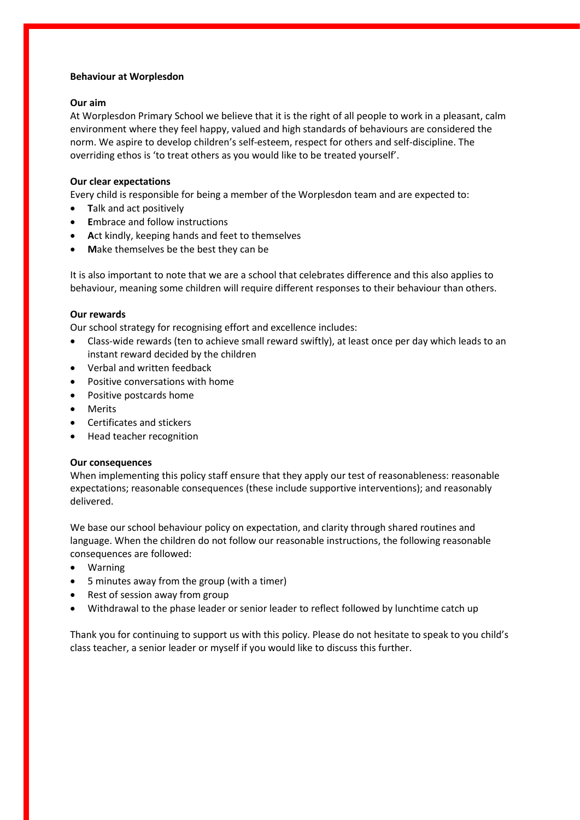### **Behaviour at Worplesdon**

#### **Our aim**

At Worplesdon Primary School we believe that it is the right of all people to work in a pleasant, calm environment where they feel happy, valued and high standards of behaviours are considered the norm. We aspire to develop children's self-esteem, respect for others and self-discipline. The overriding ethos is 'to treat others as you would like to be treated yourself'.

## **Our clear expectations**

Every child is responsible for being a member of the Worplesdon team and are expected to:

- **T**alk and act positively
- **E**mbrace and follow instructions
- **A**ct kindly, keeping hands and feet to themselves
- **M**ake themselves be the best they can be

It is also important to note that we are a school that celebrates difference and this also applies to behaviour, meaning some children will require different responses to their behaviour than others.

### **Our rewards**

Our school strategy for recognising effort and excellence includes:

- Class-wide rewards (ten to achieve small reward swiftly), at least once per day which leads to an instant reward decided by the children
- Verbal and written feedback
- Positive conversations with home
- Positive postcards home
- Merits
- Certificates and stickers
- Head teacher recognition

#### **Our consequences**

When implementing this policy staff ensure that they apply our test of reasonableness: reasonable expectations; reasonable consequences (these include supportive interventions); and reasonably delivered.

We base our school behaviour policy on expectation, and clarity through shared routines and language. When the children do not follow our reasonable instructions, the following reasonable consequences are followed:

- Warning
- 5 minutes away from the group (with a timer)
- Rest of session away from group
- Withdrawal to the phase leader or senior leader to reflect followed by lunchtime catch up

Thank you for continuing to support us with this policy. Please do not hesitate to speak to you child's class teacher, a senior leader or myself if you would like to discuss this further.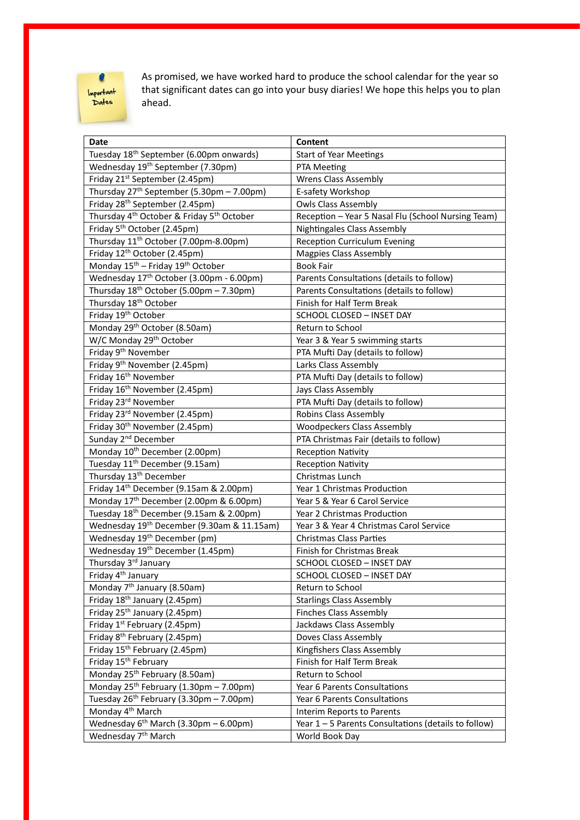# $\bullet$ Important<br>Dates

As promised, we have worked hard to produce the school calendar for the year so that significant dates can go into your busy diaries! We hope this helps you to plan ahead.

| <b>Date</b>                                                       | Content                                              |
|-------------------------------------------------------------------|------------------------------------------------------|
| Tuesday 18 <sup>th</sup> September (6.00pm onwards)               | <b>Start of Year Meetings</b>                        |
| Wednesday 19 <sup>th</sup> September (7.30pm)                     | PTA Meeting                                          |
| Friday 21 <sup>st</sup> September (2.45pm)                        | Wrens Class Assembly                                 |
| Thursday 27 <sup>th</sup> September (5.30pm - 7.00pm)             | E-safety Workshop                                    |
| Friday 28 <sup>th</sup> September (2.45pm)                        | <b>Owls Class Assembly</b>                           |
| Thursday 4 <sup>th</sup> October & Friday 5 <sup>th</sup> October | Reception - Year 5 Nasal Flu (School Nursing Team)   |
| Friday 5 <sup>th</sup> October (2.45pm)                           | <b>Nightingales Class Assembly</b>                   |
| Thursday 11 <sup>th</sup> October (7.00pm-8.00pm)                 | <b>Reception Curriculum Evening</b>                  |
| Friday 12 <sup>th</sup> October (2.45pm)                          | <b>Magpies Class Assembly</b>                        |
| Monday 15 <sup>th</sup> - Friday 19 <sup>th</sup> October         | <b>Book Fair</b>                                     |
| Wednesday 17 <sup>th</sup> October (3.00pm - 6.00pm)              | Parents Consultations (details to follow)            |
| Thursday 18 <sup>th</sup> October (5.00pm - 7.30pm)               | Parents Consultations (details to follow)            |
| Thursday 18 <sup>th</sup> October                                 | Finish for Half Term Break                           |
| Friday 19 <sup>th</sup> October                                   | SCHOOL CLOSED - INSET DAY                            |
| Monday 29 <sup>th</sup> October (8.50am)                          | Return to School                                     |
| W/C Monday 29 <sup>th</sup> October                               | Year 3 & Year 5 swimming starts                      |
| Friday 9 <sup>th</sup> November                                   | PTA Mufti Day (details to follow)                    |
| Friday 9 <sup>th</sup> November (2.45pm)                          | Larks Class Assembly                                 |
| Friday 16 <sup>th</sup> November                                  | PTA Mufti Day (details to follow)                    |
| Friday 16 <sup>th</sup> November (2.45pm)                         | Jays Class Assembly                                  |
| Friday 23rd November                                              | PTA Mufti Day (details to follow)                    |
| Friday 23rd November (2.45pm)                                     | Robins Class Assembly                                |
| Friday 30 <sup>th</sup> November (2.45pm)                         | <b>Woodpeckers Class Assembly</b>                    |
| Sunday 2 <sup>nd</sup> December                                   | PTA Christmas Fair (details to follow)               |
| Monday 10 <sup>th</sup> December (2.00pm)                         | <b>Reception Nativity</b>                            |
| Tuesday 11 <sup>th</sup> December (9.15am)                        | <b>Reception Nativity</b>                            |
| Thursday 13 <sup>th</sup> December                                | Christmas Lunch                                      |
| Friday 14th December (9.15am & 2.00pm)                            | Year 1 Christmas Production                          |
| Monday 17 <sup>th</sup> December (2.00pm & 6.00pm)                | Year 5 & Year 6 Carol Service                        |
| Tuesday 18 <sup>th</sup> December (9.15am & 2.00pm)               | Year 2 Christmas Production                          |
| Wednesday 19 <sup>th</sup> December (9.30am & 11.15am)            | Year 3 & Year 4 Christmas Carol Service              |
| Wednesday 19 <sup>th</sup> December (pm)                          | <b>Christmas Class Parties</b>                       |
| Wednesday 19 <sup>th</sup> December (1.45pm)                      | Finish for Christmas Break                           |
| Thursday 3rd January                                              | SCHOOL CLOSED - INSET DAY                            |
| Friday 4 <sup>th</sup> January                                    | SCHOOL CLOSED - INSET DAY                            |
| Monday 7 <sup>th</sup> January (8.50am)                           | Return to School                                     |
| Friday 18 <sup>th</sup> January (2.45pm)                          | <b>Starlings Class Assembly</b>                      |
| Friday 25 <sup>th</sup> January (2.45pm)                          | <b>Finches Class Assembly</b>                        |
| Friday 1st February (2.45pm)                                      | Jackdaws Class Assembly                              |
| Friday 8 <sup>th</sup> February (2.45pm)                          | Doves Class Assembly                                 |
| Friday 15 <sup>th</sup> February (2.45pm)                         | Kingfishers Class Assembly                           |
| Friday 15 <sup>th</sup> February                                  | Finish for Half Term Break                           |
| Monday 25 <sup>th</sup> February (8.50am)                         | Return to School                                     |
| Monday 25 <sup>th</sup> February (1.30pm - 7.00pm)                | Year 6 Parents Consultations                         |
| Tuesday 26 <sup>th</sup> February (3.30pm - 7.00pm)               | Year 6 Parents Consultations                         |
| Monday 4 <sup>th</sup> March                                      | Interim Reports to Parents                           |
| Wednesday $6^{th}$ March (3.30pm - 6.00pm)                        | Year 1 - 5 Parents Consultations (details to follow) |
| Wednesday 7 <sup>th</sup> March                                   | World Book Day                                       |